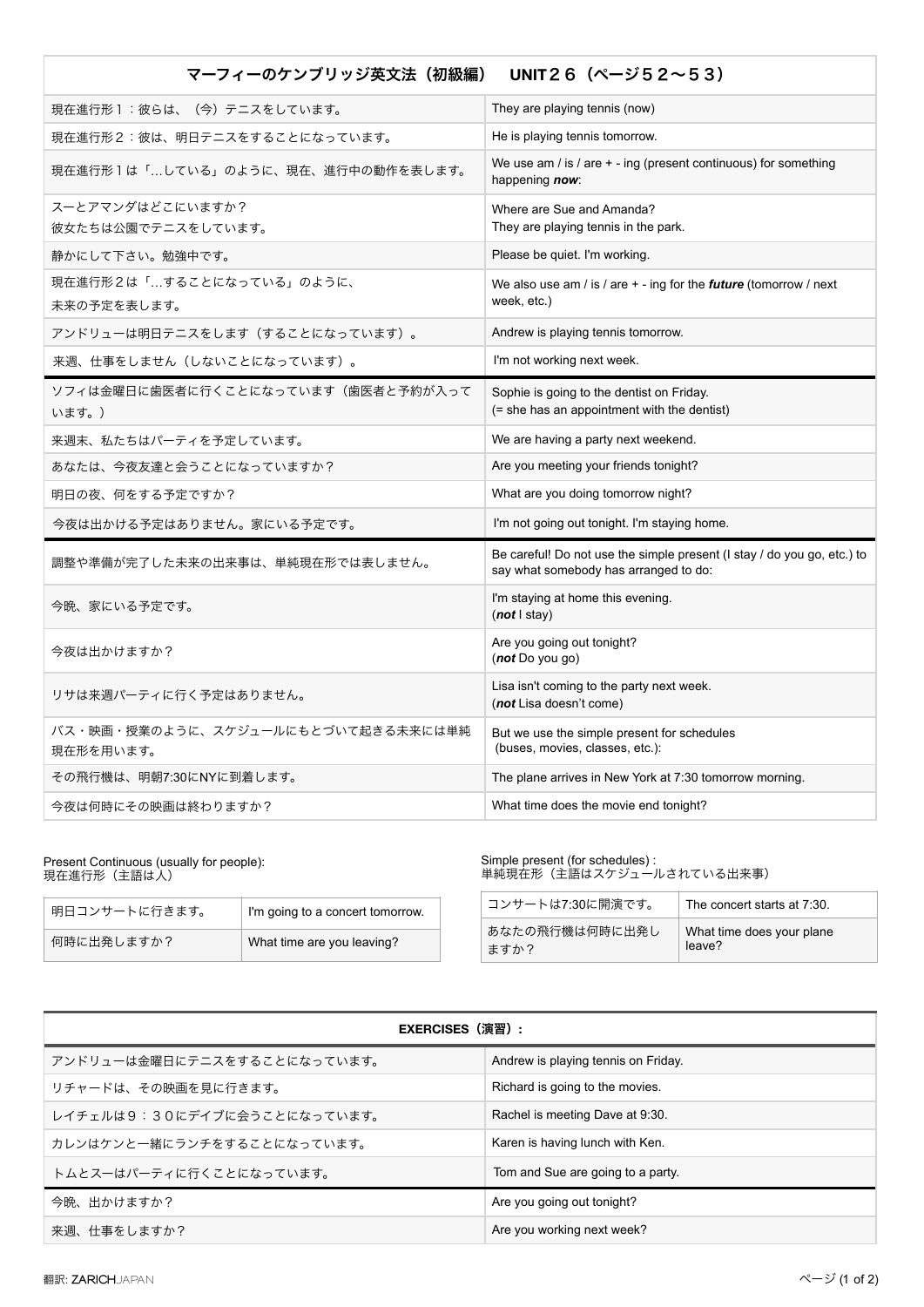| マーフィーのケンブリッジ英文法(初級編)                            | UNIT26 $(A-352-53)$                                                                                              |
|-------------------------------------------------|------------------------------------------------------------------------------------------------------------------|
| 現在進行形1:彼らは、(今)テニスをしています。                        | They are playing tennis (now)                                                                                    |
| 現在進行形2:彼は、明日テニスをすることになっています。                    | He is playing tennis tomorrow.                                                                                   |
| 現在進行形1は「している」のように、現在、進行中の動作を表します。               | We use am / is / are $+$ - ing (present continuous) for something<br>happening now:                              |
| スーとアマンダはどこにいますか?<br>彼女たちは公園でテニスをしています。          | Where are Sue and Amanda?<br>They are playing tennis in the park.                                                |
| 静かにして下さい。勉強中です。                                 | Please be quiet. I'm working.                                                                                    |
| 現在進行形2は「…することになっている」のように、<br>未来の予定を表します。        | We also use am / is / are $+$ - ing for the <i>future</i> (tomorrow / next<br>week, etc.)                        |
| アンドリューは明日テニスをします(することになっています)。                  | Andrew is playing tennis tomorrow.                                                                               |
| 来週、仕事をしません(しないことになっています)。                       | I'm not working next week.                                                                                       |
| ソフィは金曜日に歯医者に行くことになっています(歯医者と予約が入って<br>います。)     | Sophie is going to the dentist on Friday.<br>(= she has an appointment with the dentist)                         |
| 来週末、私たちはパーティを予定しています。                           | We are having a party next weekend.                                                                              |
| あなたは、今夜友達と会うことになっていますか?                         | Are you meeting your friends tonight?                                                                            |
| 明日の夜、何をする予定ですか?                                 | What are you doing tomorrow night?                                                                               |
| 今夜は出かける予定はありません。家にいる予定です。                       | I'm not going out tonight. I'm staying home.                                                                     |
| 調整や準備が完了した未来の出来事は、単純現在形では表しません。                 | Be careful! Do not use the simple present (I stay / do you go, etc.) to<br>say what somebody has arranged to do: |
| 今晩、家にいる予定です。                                    | I'm staying at home this evening.<br>(not   stay)                                                                |
| 今夜は出かけますか?                                      | Are you going out tonight?<br>(not Do you go)                                                                    |
| リサは来週パーティに行く予定はありません。                           | Lisa isn't coming to the party next week.<br>(not Lisa doesn't come)                                             |
| バス・映画・授業のように、スケジュールにもとづいて起きる未来には単純<br>現在形を用います。 | But we use the simple present for schedules<br>(buses, movies, classes, etc.):                                   |
| その飛行機は、明朝7:30にNYに到着します。                         | The plane arrives in New York at 7:30 tomorrow morning.                                                          |
| 今夜は何時にその映画は終わりますか?                              | What time does the movie end tonight?                                                                            |

## Present Continuous (usually for people):

## Simple present (for schedules) :

現在進行形(主語は人)

明日コンサートに行きます。 | I'm going to a concert tomorrow.

何時に出発しますか? What time are you leaving?

| Suriple present (for scriedules). |  |                          |
|-----------------------------------|--|--------------------------|
|                                   |  | 単純現在形(主語はスケジュールされている出来事) |
|                                   |  |                          |

| コンサートは7:30に開演です。 | The concert starts at 7:30. |
|------------------|-----------------------------|
| あなたの飛行機は何時に出発し   | What time does your plane   |
| ますか?             | leave?                      |

| <b>EXERCISES</b> (演習) :     |                                     |  |
|-----------------------------|-------------------------------------|--|
| アンドリューは金曜日にテニスをすることになっています。 | Andrew is playing tennis on Friday. |  |
| リチャードは、その映画を見に行きます。         | Richard is going to the movies.     |  |
| レイチェルは9:30にデイブに会うことになっています。 | Rachel is meeting Dave at 9:30.     |  |
| カレンはケンと一緒にランチをすることになっています。  | Karen is having lunch with Ken.     |  |
| トムとスーはパーティに行くことになっています。     | Tom and Sue are going to a party.   |  |
| 今晩、出かけますか?                  | Are you going out tonight?          |  |
| 来週、仕事をしますか?                 | Are you working next week?          |  |